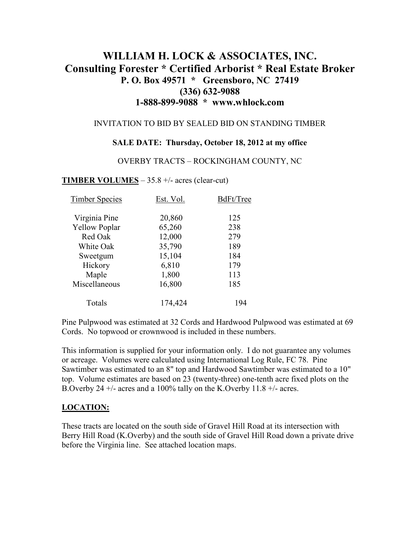# **WILLIAM H. LOCK & ASSOCIATES, INC. Consulting Forester \* Certified Arborist \* Real Estate Broker P. O. Box 49571 \* Greensboro, NC 27419 (336) 632-9088 1-888-899-9088 \* www.whlock.com**

#### INVITATION TO BID BY SEALED BID ON STANDING TIMBER

#### **SALE DATE: Thursday, October 18, 2012 at my office**

#### OVERBY TRACTS – ROCKINGHAM COUNTY, NC

### **TIMBER VOLUMES** – 35.8 +/- acres (clear-cut)

| <b>Timber Species</b> | Est. Vol. | BdFt/Tree |
|-----------------------|-----------|-----------|
| Virginia Pine         | 20,860    | 125       |
| <b>Yellow Poplar</b>  | 65,260    | 238       |
| Red Oak               | 12,000    | 279       |
| White Oak             | 35,790    | 189       |
| Sweetgum              | 15,104    | 184       |
| Hickory               | 6,810     | 179       |
| Maple                 | 1,800     | 113       |
| Miscellaneous         | 16,800    | 185       |
| Totals                | 174,424   | 194       |

Pine Pulpwood was estimated at 32 Cords and Hardwood Pulpwood was estimated at 69 Cords. No topwood or crownwood is included in these numbers.

This information is supplied for your information only. I do not guarantee any volumes or acreage. Volumes were calculated using International Log Rule, FC 78. Pine Sawtimber was estimated to an 8" top and Hardwood Sawtimber was estimated to a 10" top. Volume estimates are based on 23 (twenty-three) one-tenth acre fixed plots on the B.Overby 24  $+/-$  acres and a 100% tally on the K.Overby 11.8  $+/-$  acres.

### **LOCATION:**

These tracts are located on the south side of Gravel Hill Road at its intersection with Berry Hill Road (K.Overby) and the south side of Gravel Hill Road down a private drive before the Virginia line. See attached location maps.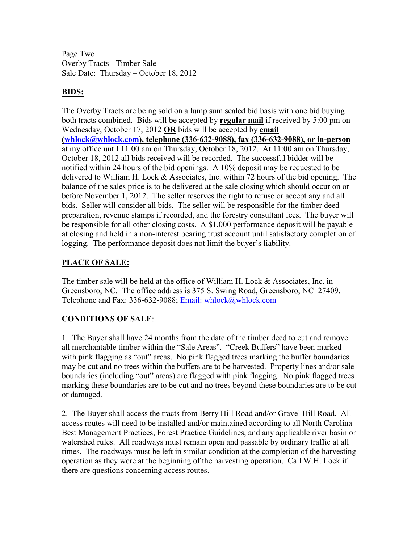Page Two Overby Tracts - Timber Sale Sale Date: Thursday – October 18, 2012

## **BIDS:**

The Overby Tracts are being sold on a lump sum sealed bid basis with one bid buying both tracts combined. Bids will be accepted by **regular mail** if received by 5:00 pm on Wednesday, October 17, 2012 **OR** bids will be accepted by **email (whlock@whlock.com), telephone (336-632-9088), fax (336-632-9088), or in-person** at my office until 11:00 am on Thursday, October 18, 2012. At 11:00 am on Thursday, October 18, 2012 all bids received will be recorded. The successful bidder will be notified within 24 hours of the bid openings. A 10% deposit may be requested to be delivered to William H. Lock & Associates, Inc. within 72 hours of the bid opening. The balance of the sales price is to be delivered at the sale closing which should occur on or before November 1, 2012. The seller reserves the right to refuse or accept any and all bids. Seller will consider all bids. The seller will be responsible for the timber deed preparation, revenue stamps if recorded, and the forestry consultant fees. The buyer will be responsible for all other closing costs. A \$1,000 performance deposit will be payable at closing and held in a non-interest bearing trust account until satisfactory completion of logging. The performance deposit does not limit the buyer's liability.

## **PLACE OF SALE:**

The timber sale will be held at the office of William H. Lock & Associates, Inc. in Greensboro, NC. The office address is 375 S. Swing Road, Greensboro, NC 27409. Telephone and Fax: 336-632-9088; Email: whlock@whlock.com

### **CONDITIONS OF SALE**:

1. The Buyer shall have 24 months from the date of the timber deed to cut and remove all merchantable timber within the "Sale Areas". "Creek Buffers" have been marked with pink flagging as "out" areas. No pink flagged trees marking the buffer boundaries may be cut and no trees within the buffers are to be harvested. Property lines and/or sale boundaries (including "out" areas) are flagged with pink flagging. No pink flagged trees marking these boundaries are to be cut and no trees beyond these boundaries are to be cut or damaged.

2. The Buyer shall access the tracts from Berry Hill Road and/or Gravel Hill Road. All access routes will need to be installed and/or maintained according to all North Carolina Best Management Practices, Forest Practice Guidelines, and any applicable river basin or watershed rules. All roadways must remain open and passable by ordinary traffic at all times. The roadways must be left in similar condition at the completion of the harvesting operation as they were at the beginning of the harvesting operation. Call W.H. Lock if there are questions concerning access routes.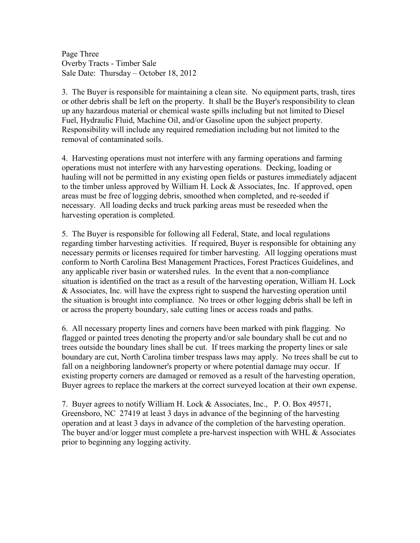Page Three Overby Tracts - Timber Sale Sale Date: Thursday – October 18, 2012

3. The Buyer is responsible for maintaining a clean site. No equipment parts, trash, tires or other debris shall be left on the property. It shall be the Buyer's responsibility to clean up any hazardous material or chemical waste spills including but not limited to Diesel Fuel, Hydraulic Fluid, Machine Oil, and/or Gasoline upon the subject property. Responsibility will include any required remediation including but not limited to the removal of contaminated soils.

4. Harvesting operations must not interfere with any farming operations and farming operations must not interfere with any harvesting operations. Decking, loading or hauling will not be permitted in any existing open fields or pastures immediately adjacent to the timber unless approved by William H. Lock & Associates, Inc. If approved, open areas must be free of logging debris, smoothed when completed, and re-seeded if necessary. All loading decks and truck parking areas must be reseeded when the harvesting operation is completed.

5. The Buyer is responsible for following all Federal, State, and local regulations regarding timber harvesting activities. If required, Buyer is responsible for obtaining any necessary permits or licenses required for timber harvesting. All logging operations must conform to North Carolina Best Management Practices, Forest Practices Guidelines, and any applicable river basin or watershed rules. In the event that a non-compliance situation is identified on the tract as a result of the harvesting operation, William H. Lock & Associates, Inc. will have the express right to suspend the harvesting operation until the situation is brought into compliance. No trees or other logging debris shall be left in or across the property boundary, sale cutting lines or access roads and paths.

6. All necessary property lines and corners have been marked with pink flagging. No flagged or painted trees denoting the property and/or sale boundary shall be cut and no trees outside the boundary lines shall be cut. If trees marking the property lines or sale boundary are cut, North Carolina timber trespass laws may apply. No trees shall be cut to fall on a neighboring landowner's property or where potential damage may occur. If existing property corners are damaged or removed as a result of the harvesting operation, Buyer agrees to replace the markers at the correct surveyed location at their own expense.

7. Buyer agrees to notify William H. Lock & Associates, Inc., P. O. Box 49571, Greensboro, NC 27419 at least 3 days in advance of the beginning of the harvesting operation and at least 3 days in advance of the completion of the harvesting operation. The buyer and/or logger must complete a pre-harvest inspection with WHL & Associates prior to beginning any logging activity.